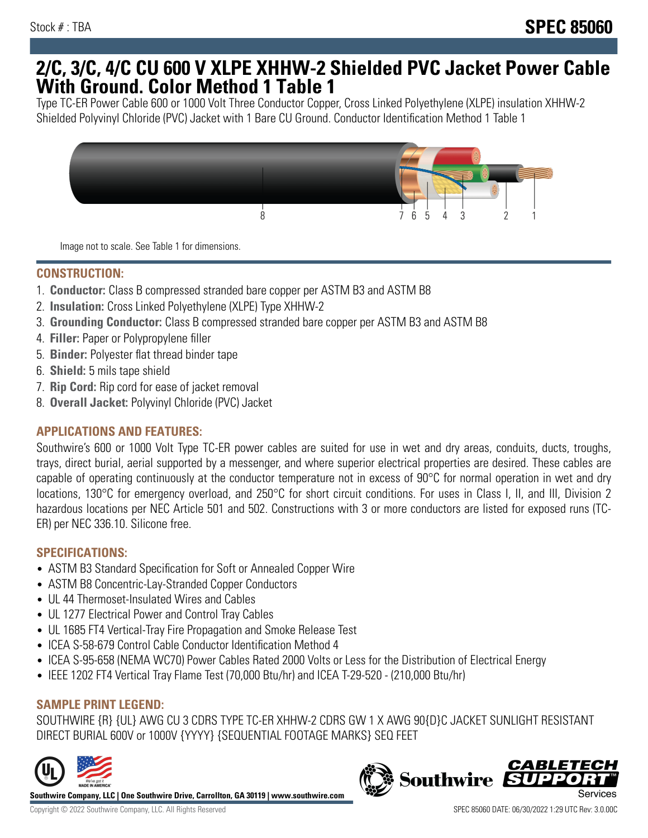## **2/C, 3/C, 4/C CU 600 V XLPE XHHW-2 Shielded PVC Jacket Power Cable With Ground. Color Method 1 Table 1**

Type TC-ER Power Cable 600 or 1000 Volt Three Conductor Copper, Cross Linked Polyethylene (XLPE) insulation XHHW-2 Shielded Polyvinyl Chloride (PVC) Jacket with 1 Bare CU Ground. Conductor Identification Method 1 Table 1



Image not to scale. See Table 1 for dimensions.

#### **CONSTRUCTION:**

- 1. **Conductor:** Class B compressed stranded bare copper per ASTM B3 and ASTM B8
- 2. **Insulation:** Cross Linked Polyethylene (XLPE) Type XHHW-2
- 3. **Grounding Conductor:** Class B compressed stranded bare copper per ASTM B3 and ASTM B8
- 4. **Filler:** Paper or Polypropylene filler
- 5. **Binder:** Polyester flat thread binder tape
- 6. **Shield:** 5 mils tape shield
- 7. **Rip Cord:** Rip cord for ease of jacket removal
- 8. **Overall Jacket:** Polyvinyl Chloride (PVC) Jacket

## **APPLICATIONS AND FEATURES:**

Southwire's 600 or 1000 Volt Type TC-ER power cables are suited for use in wet and dry areas, conduits, ducts, troughs, trays, direct burial, aerial supported by a messenger, and where superior electrical properties are desired. These cables are capable of operating continuously at the conductor temperature not in excess of 90°C for normal operation in wet and dry locations, 130°C for emergency overload, and 250°C for short circuit conditions. For uses in Class I, II, and III, Division 2 hazardous locations per NEC Article 501 and 502. Constructions with 3 or more conductors are listed for exposed runs (TC-ER) per NEC 336.10. Silicone free.

#### **SPECIFICATIONS:**

- ASTM B3 Standard Specification for Soft or Annealed Copper Wire
- ASTM B8 Concentric-Lay-Stranded Copper Conductors
- UL 44 Thermoset-Insulated Wires and Cables
- UL 1277 Electrical Power and Control Tray Cables
- UL 1685 FT4 Vertical-Tray Fire Propagation and Smoke Release Test
- ICEA S-58-679 Control Cable Conductor Identification Method 4
- ICEA S-95-658 (NEMA WC70) Power Cables Rated 2000 Volts or Less for the Distribution of Electrical Energy
- IEEE 1202 FT4 Vertical Tray Flame Test (70,000 Btu/hr) and ICEA T-29-520 (210,000 Btu/hr)

## **SAMPLE PRINT LEGEND:**

SOUTHWIRE {R} {UL} AWG CU 3 CDRS TYPE TC-ER XHHW-2 CDRS GW 1 X AWG 90{D}C JACKET SUNLIGHT RESISTANT DIRECT BURIAL 600V or 1000V {YYYY} {SEQUENTIAL FOOTAGE MARKS} SEQ FEET



**Southwire Company, LLC | One Southwire Drive, Carrollton, GA 30119 | www.southwire.com**